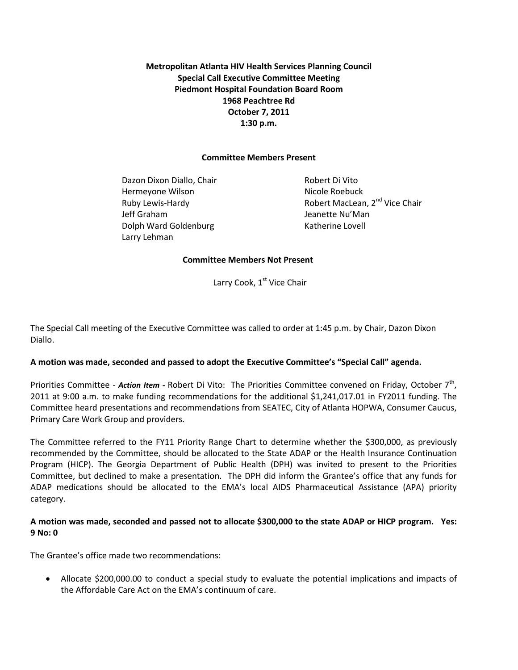**Metropolitan Atlanta HIV Health Services Planning Council Special Call Executive Committee Meeting Piedmont Hospital Foundation Board Room 1968 Peachtree Rd October 7, 2011 1:30 p.m.** 

#### **Committee Members Present**

Dazon Dixon Diallo, Chair **Robert Di Vito** Hermeyone Wilson Nicole Roebuck Jeff Graham Jeanette Nu'Man Dolph Ward Goldenburg Katherine Lovell Larry Lehman

Ruby Lewis-Hardy **Robert MacLean, 2<sup>nd</sup> Vice Chair** 

#### **Committee Members Not Present**

Larry Cook, 1<sup>st</sup> Vice Chair

The Special Call meeting of the Executive Committee was called to order at 1:45 p.m. by Chair, Dazon Dixon Diallo.

## **A motion was made, seconded and passed to adopt the Executive Committee's "Special Call" agenda.**

Priorities Committee - Action Item - Robert Di Vito: The Priorities Committee convened on Friday, October 7<sup>th</sup>, 2011 at 9:00 a.m. to make funding recommendations for the additional \$1,241,017.01 in FY2011 funding. The Committee heard presentations and recommendations from SEATEC, City of Atlanta HOPWA, Consumer Caucus, Primary Care Work Group and providers.

The Committee referred to the FY11 Priority Range Chart to determine whether the \$300,000, as previously recommended by the Committee, should be allocated to the State ADAP or the Health Insurance Continuation Program (HICP). The Georgia Department of Public Health (DPH) was invited to present to the Priorities Committee, but declined to make a presentation. The DPH did inform the Grantee's office that any funds for ADAP medications should be allocated to the EMA's local AIDS Pharmaceutical Assistance (APA) priority category.

## **A motion was made, seconded and passed not to allocate \$300,000 to the state ADAP or HICP program. Yes: 9 No: 0**

The Grantee's office made two recommendations:

 Allocate \$200,000.00 to conduct a special study to evaluate the potential implications and impacts of the Affordable Care Act on the EMA's continuum of care.